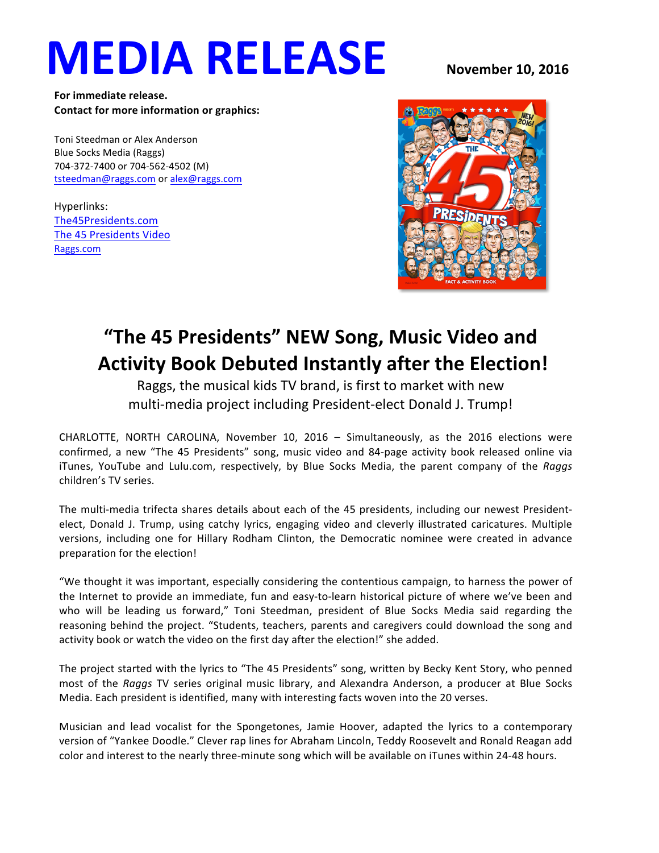# **MEDIA RELEASE** November 10, 2016

For immediate release. **Contact for more information or graphics:** 

Toni Steedman or Alex Anderson Blue Socks Media (Raggs) 704-372-7400 or 704-562-4502 (M) tsteedman@raggs.com or alex@raggs.com

Hyperlinks: The45Presidents.com The 45 Presidents Video Raggs.com



## **"The 45 Presidents" NEW Song, Music Video and Activity Book Debuted Instantly after the Election!**

Raggs, the musical kids TV brand, is first to market with new multi-media project including President-elect Donald J. Trump!

CHARLOTTE, NORTH CAROLINA, November 10, 2016 - Simultaneously, as the 2016 elections were confirmed, a new "The 45 Presidents" song, music video and 84-page activity book released online via iTunes, YouTube and Lulu.com, respectively, by Blue Socks Media, the parent company of the *Raggs* children's TV series.

The multi-media trifecta shares details about each of the 45 presidents, including our newest Presidentelect, Donald J. Trump, using catchy lyrics, engaging video and cleverly illustrated caricatures. Multiple versions, including one for Hillary Rodham Clinton, the Democratic nominee were created in advance preparation for the election!

"We thought it was important, especially considering the contentious campaign, to harness the power of the Internet to provide an immediate, fun and easy-to-learn historical picture of where we've been and who will be leading us forward," Toni Steedman, president of Blue Socks Media said regarding the reasoning behind the project. "Students, teachers, parents and caregivers could download the song and activity book or watch the video on the first day after the election!" she added.

The project started with the lyrics to "The 45 Presidents" song, written by Becky Kent Story, who penned most of the *Raggs* TV series original music library, and Alexandra Anderson, a producer at Blue Socks Media. Each president is identified, many with interesting facts woven into the 20 verses.

Musician and lead vocalist for the Spongetones, Jamie Hoover, adapted the lyrics to a contemporary version of "Yankee Doodle." Clever rap lines for Abraham Lincoln, Teddy Roosevelt and Ronald Reagan add color and interest to the nearly three-minute song which will be available on iTunes within 24-48 hours.